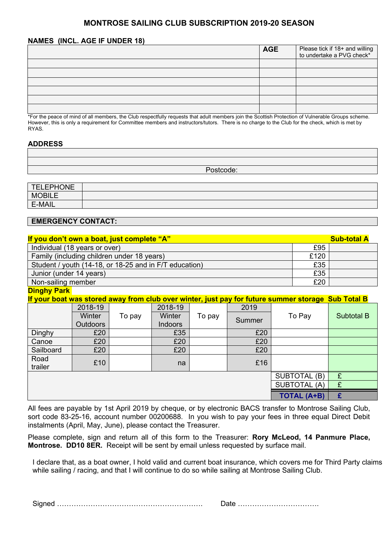# **MONTROSE SAILING CLUB SUBSCRIPTION 2019-20 SEASON**

### **NAMES (INCL. AGE IF UNDER 18)**

|                                                                                                                                                   | <b>AGE</b> | Please tick if 18+ and willing<br>to undertake a PVG check* |
|---------------------------------------------------------------------------------------------------------------------------------------------------|------------|-------------------------------------------------------------|
|                                                                                                                                                   |            |                                                             |
|                                                                                                                                                   |            |                                                             |
|                                                                                                                                                   |            |                                                             |
|                                                                                                                                                   |            |                                                             |
|                                                                                                                                                   |            |                                                             |
|                                                                                                                                                   |            |                                                             |
| *For the peace of mind of all members, the Club respectfully requests that adult members join the Scottish Protection of Vulnerable Groups scheme |            |                                                             |

\*For the peace of mind of all members, the Club respectfully requests that adult members join the Scottish Protection of Vulnerable Groups scheme. However, this is only a requirement for Committee members and instructors/tutors. There is no charge to the Club for the check, which is met by RYAS.

## **ADDRESS**

Postcode:

| <b>TELEPHONE</b> |  |
|------------------|--|
| <b>MOBILE</b>    |  |
| E-MAIL           |  |

## **EMERGENCY CONTACT:**

| If you don't own a boat, just complete "A"             |      | <b>Sub-total A</b> |  |  |
|--------------------------------------------------------|------|--------------------|--|--|
| Individual (18 years or over)                          | £95  |                    |  |  |
| Family (including children under 18 years)             | £120 |                    |  |  |
| Student / youth (14-18, or 18-25 and in F/T education) | £35  |                    |  |  |
| Junior (under 14 years)                                | £35  |                    |  |  |
| Non-sailing member                                     | £20  |                    |  |  |
| _______                                                |      |                    |  |  |

**Dinghy Park** 

**If your boat was stored away from club over winter, just pay for future summer storage Sub Total B**

|                    | 2018-19  |        | 2018-19        |        | 2019                |              |            |
|--------------------|----------|--------|----------------|--------|---------------------|--------------|------------|
|                    | Winter   | To pay | Winter         | To pay |                     | To Pay       | Subtotal B |
|                    | Outdoors |        | <b>Indoors</b> |        | Summer              |              |            |
| Dinghy             | £20      |        | £35            |        | £20                 |              |            |
| Canoe              | £20      |        | £20            |        | £20                 |              |            |
| Sailboard          | £20      |        | £20            |        | £20                 |              |            |
| Road               | £10      |        |                |        | £16                 |              |            |
| trailer            |          |        | na             |        |                     |              |            |
|                    |          |        |                |        |                     | SUBTOTAL (B) | £          |
|                    |          |        |                |        | <b>SUBTOTAL (A)</b> | £            |            |
| <b>TOTAL (A+B)</b> |          |        |                |        | £                   |              |            |

All fees are payable by 1st April 2019 by cheque, or by electronic BACS transfer to Montrose Sailing Club, sort code 83-25-16, account number 00200688. In you wish to pay your fees in three equal Direct Debit instalments (April, May, June), please contact the Treasurer.

Please complete, sign and return all of this form to the Treasurer: **Rory McLeod, 14 Panmure Place, Montrose. DD10 8ER.** Receipt will be sent by email unless requested by surface mail.

I declare that, as a boat owner, I hold valid and current boat insurance, which covers me for Third Party claims while sailing / racing, and that I will continue to do so while sailing at Montrose Sailing Club.

|--|--|